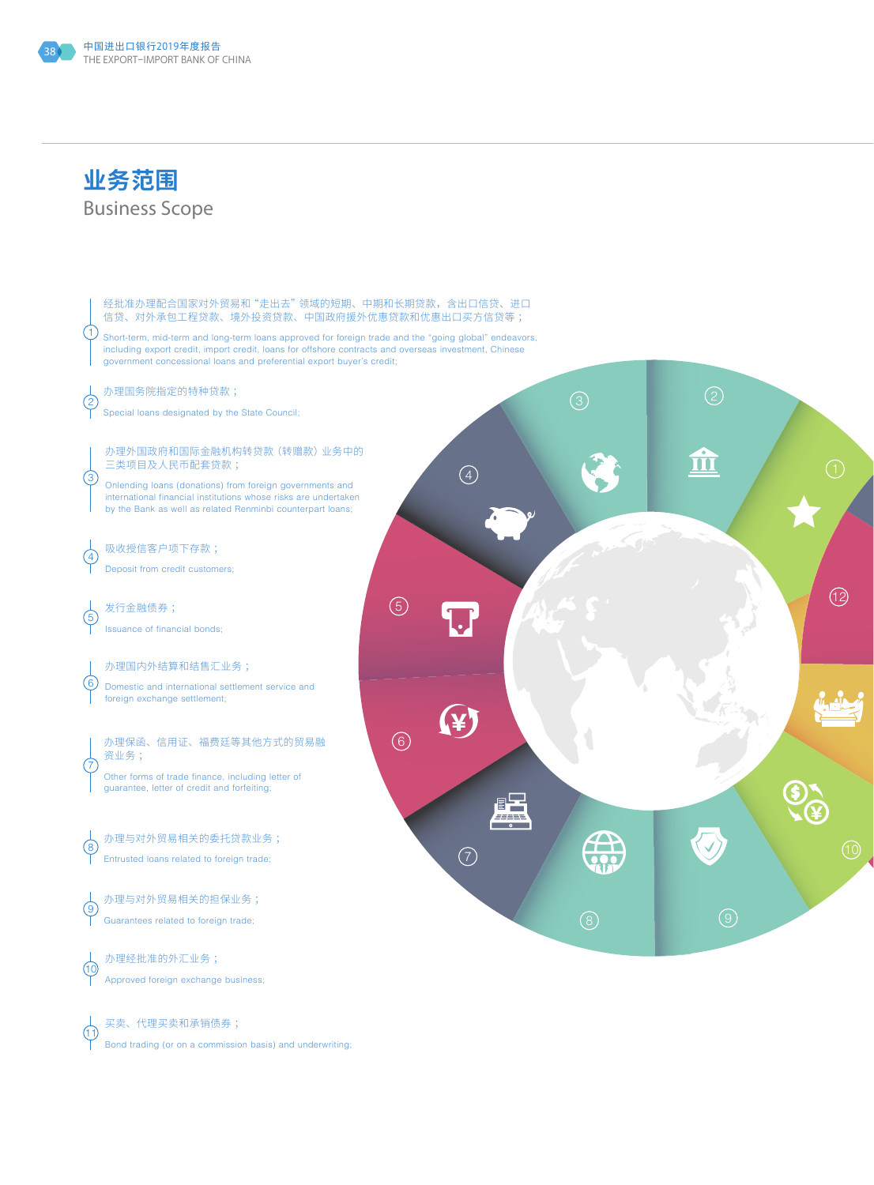



买卖、代理买卖和承销债券 ; Bond trading (or on a commission basis) and underwriting;

 $\bigcap$